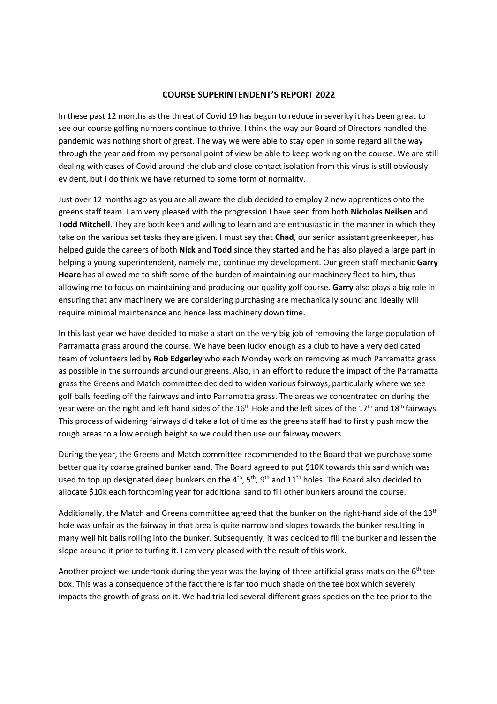## **COURSE SUPERINTENDENT'S REPORT 2022**

In these past 12 months as the threat of Covid 19 has begun to reduce in severity it has been great to see our course golfing numbers continue to thrive. I think the way our Board of Directors handled the pandemic was nothing short of great. The way we were able to stay open in some regard all the way through the year and from my personal point of view be able to keep working on the course. We are still dealing with cases of Covid around the club and close contact isolation from this virus is still obviously evident, but I do think we have returned to some form of normality.

Just over 12 months ago as you are all aware the club decided to employ 2 new apprentices onto the greens staff team. I am very pleased with the progression I have seen from both **Nicholas Neilsen** and **Todd Mitchell**. They are both keen and willing to learn and are enthusiastic in the manner in which they take on the various set tasks they are given. I must say that **Chad**, our senior assistant greenkeeper, has helped guide the careers of both **Nick** and **Todd** since they started and he has also played a large part in helping a young superintendent, namely me, continue my development. Our green staff mechanic **Garry Hoare** has allowed me to shift some of the burden of maintaining our machinery fleet to him, thus allowing me to focus on maintaining and producing our quality golf course. **Garry** also plays a big role in ensuring that any machinery we are considering purchasing are mechanically sound and ideally will require minimal maintenance and hence less machinery down time.

In this last year we have decided to make a start on the very big job of removing the large population of Parramatta grass around the course. We have been lucky enough as a club to have a very dedicated team of volunteers led by **Rob Edgerley** who each Monday work on removing as much Parramatta grass as possible in the surrounds around our greens. Also, in an effort to reduce the impact of the Parramatta grass the Greens and Match committee decided to widen various fairways, particularly where we see golf balls feeding off the fairways and into Parramatta grass. The areas we concentrated on during the year were on the right and left hand sides of the 16<sup>th</sup> Hole and the left sides of the 17<sup>th</sup> and 18<sup>th</sup> fairways. This process of widening fairways did take a lot of time as the greens staff had to firstly push mow the rough areas to a low enough height so we could then use our fairway mowers.

During the year, the Greens and Match committee recommended to the Board that we purchase some better quality coarse grained bunker sand. The Board agreed to put \$10K towards this sand which was used to top up designated deep bunkers on the  $4^{th}$ ,  $5^{th}$ ,  $9^{th}$  and  $11^{th}$  holes. The Board also decided to allocate \$10k each forthcoming year for additional sand to fill other bunkers around the course.

Additionally, the Match and Greens committee agreed that the bunker on the right-hand side of the  $13<sup>th</sup>$ hole was unfair as the fairway in that area is quite narrow and slopes towards the bunker resulting in many well hit balls rolling into the bunker. Subsequently, it was decided to fill the bunker and lessen the slope around it prior to turfing it. I am very pleased with the result of this work.

Another project we undertook during the year was the laying of three artificial grass mats on the  $6<sup>th</sup>$  tee box. This was a consequence of the fact there is far too much shade on the tee box which severely impacts the growth of grass on it. We had trialled several different grass species on the tee prior to the